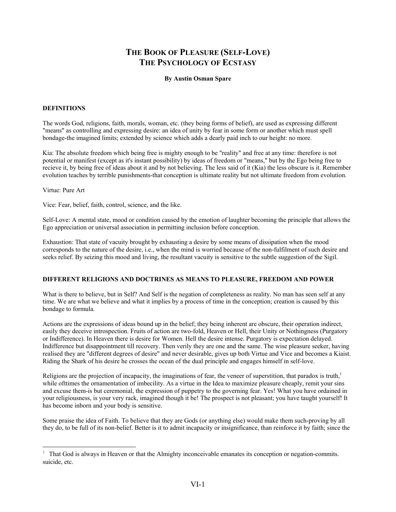# **THE BOOK OF PLEASURE (SELF-LOVE) THE PSYCHOLOGY OF ECSTASY**

#### **By Austin Osman Spare**

## **DEFINITIONS**

The words God, religions, faith, morals, woman, etc. (they being forms of belief), are used as expressing different "means" as controlling and expressing desire: an idea of unity by fear in some form or another which must spell bondage-the imagined limits; extended by science which adds a dearly paid inch to our height: no more.

Kia: The absolute freedom which being free is mighty enough to be "reality" and free at any time: therefore is not potential or manifest (except as it's instant possibility) by ideas of freedom or "means," but by the Ego being free to recieve it, by being free of ideas about it and by not believing. The less said of it (Kia) the less obscure is it. Remember evolution teaches by terrible punishments-that conception is ultimate reality but not ultimate freedom from evolution.

Virtue: Pure Art

-

Vice: Fear, belief, faith, control, science, and the like.

Self-Love: A mental state, mood or condition caused by the emotion of laughter becoming the principle that allows the Ego appreciation or universal association in permitting inclusion before conception.

Exhaustion: That state of vacuity brought by exhausting a desire by some means of dissipation when the mood corresponds to the nature of the desire, i.e., when the mind is worried because of the non-fulfilment of such desire and seeks relief. By seizing this mood and living, the resultant vacuity is sensitive to the subtle suggestion of the Sigil.

## **DIFFERENT RELIGIONS AND DOCTRINES AS MEANS TO PLEASURE, FREEDOM AND POWER**

What is there to believe, but in Self? And Self is the negation of completeness as reality. No man has seen self at any time. We are what we believe and what it implies by a process of time in the conception; creation is caused by this bondage to formula.

Actions are the expressions of ideas bound up in the belief; they being inherent are obscure, their operation indirect, easily they deceive introspection. Fruits of action are two-fold, Heaven or Hell, their Unity or Nothingness (Purgatory or Indifference). In Heaven there is desire for Women. Hell the desire intense. Purgatory is expectation delayed. Indifference but disappointment till recovery. Then verily they are one and the same. The wise pleasure seeker, having realised they are "different degrees of desire" and never desirable, gives up both Virtue and Vice and becomes a Kiaist. Riding the Shark of his desire he crosses the ocean of the dual principle and engages himself in self-love.

Religions are the projection of incapacity, the imaginations of fear, the veneer of superstition, that paradox is truth, $\frac{1}{1}$  $\frac{1}{1}$  $\frac{1}{1}$ while ofttimes the ornamentation of imbecility. As a virtue in the Idea to maximize pleasure cheaply, remit your sins and excuse them-is but ceremonial, the expression of puppetry to the governing fear. Yes! What you have ordained in your religiousness, is your very rack, imagined though it be! The prospect is not pleasant; you have taught yourself! It has become inborn and your body is sensitive.

Some praise the idea of Faith. To believe that they are Gods (or anything else) would make them such-proving by all they do, to be full of its non-belief. Better is it to admit incapacity or insignificance, than reinforce it by faith; since the

<span id="page-0-0"></span><sup>&</sup>lt;sup>1</sup> That God is always in Heaven or that the Almighty inconceivable emanates its conception or negation-commits. suicide, etc.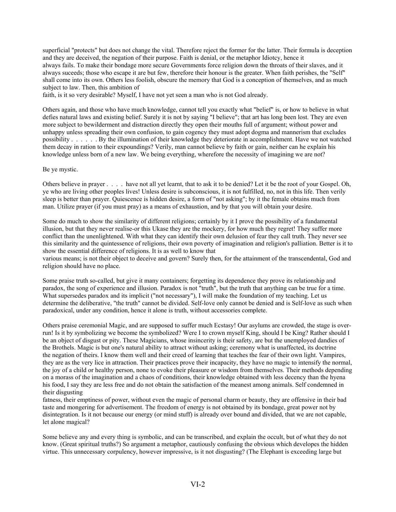superficial "protects" but does not change the vital. Therefore reject the former for the latter. Their formula is deception and they are deceived, the negation of their purpose. Faith is denial, or the metaphor Idiotcy, hence it always fails. To make their bondage more secure Governments force religion down the throats of their slaves, and it always suceeds; those who escape it are but few, therefore their honour is the greater. When faith perishes, the "Self" shall come into its own. Others less foolish, obscure the memory that God is a conception of themselves, and as much subject to law. Then, this ambition of

faith, is it so very desirable? Myself, I have not yet seen a man who is not God already.

Others again, and those who have much knowledge, cannot tell you exactly what "belief" is, or how to believe in what defies natural laws and existing belief. Surely it is not by saying "I believe"; that art has long been lost. They are even more subject to bewilderment and distraction directly they open their mouths full of argument; without power and unhappy unless spreading their own confusion, to gain cogency they must adopt dogma and mannerism that excludes possibility . . . . . . By the illumination of their knowledge they deteriorate in accomplishment. Have we not watched them decay in ration to their expoundings? Verily, man cannot believe by faith or gain, neither can he explain his knowledge unless born of a new law. We being everything, wherefore the necessity of imagining we are not?

## Be ye mystic.

Others believe in prayer . . . . have not all yet learnt, that to ask it to be denied? Let it be the root of your Gospel. Oh, ye who are living other peoples lives! Unless desire is subconscious, it is not fulfilled, no, not in this life. Then verily sleep is better than prayer. Quiescence is hidden desire, a form of "not asking"; by it the female obtains much from man. Utilize prayer (if you must pray) as a means of exhaustion, and by that you will obtain your desire.

Some do much to show the similarity of different religions; certainly by it I prove the possibility of a fundamental illusion, but that they never realise-or this Ukase they are the mockery, for how much they regret! They suffer more conflict than the unenlightened. With what they can identify their own delusion of fear they call truth. They never see this similarity and the quintessence of religions, their own poverty of imagination and religion's palliation. Better is it to show the essential difference of religions. It is as well to know that

various means; is not their object to deceive and govern? Surely then, for the attainment of the transcendental, God and religion should have no place.

Some praise truth so-called, but give it many containers; forgetting its dependence they prove its relationship and paradox, the song of experience and illusion. Paradox is not "truth", but the truth that anything can be true for a time. What supersedes paradox and its implicit ("not necessary"), I will make the foundation of my teaching. Let us determine the deliberative, "the truth" cannot be divided. Self-love only cannot be denied and is Self-love as such when paradoxical, under any condition, hence it alone is truth, without accessories complete.

Others praise ceremonial Magic, and are supposed to suffer much Ecstasy! Our asylums are crowded, the stage is overrun! Is it by symbolizing we become the symbolized? Were I to crown myself King, should I be King? Rather should I be an object of disgust or pity. These Magicians, whose insincerity is their safety, are but the unemployed dandies of the Brothels. Magic is but one's natural ability to attract without asking; ceremony what is unaffected, its doctrine the negation of theirs. I know them well and their creed of learning that teaches the fear of their own light. Vampires, they are as the very lice in attraction. Their practices prove their incapacity, they have no magic to intensify the normal, the joy of a child or healthy person, none to evoke their pleasure or wisdom from themselves. Their methods depending on a morass of the imagination and a chaos of conditions, their knowledge obtained with less decency than the hyena his food, I say they are less free and do not obtain the satisfaction of the meanest among animals. Self condemned in their disgusting

fatness, their emptiness of power, without even the magic of personal charm or beauty, they are offensive in their bad taste and mongering for advertisement. The freedom of energy is not obtained by its bondage, great power not by disintegration. Is it not because our energy (or mind stuff) is already over bound and divided, that we are not capable, let alone magical?

Some believe any and every thing is symbolic, and can be transcribed, and explain the occult, but of what they do not know. (Great spiritual truths?) So argument a metaphor, cautiously confusing the obvious which developes the hidden virtue. This unnecessary corpulency, however impressive, is it not disgusting? (The Elephant is exceeding large but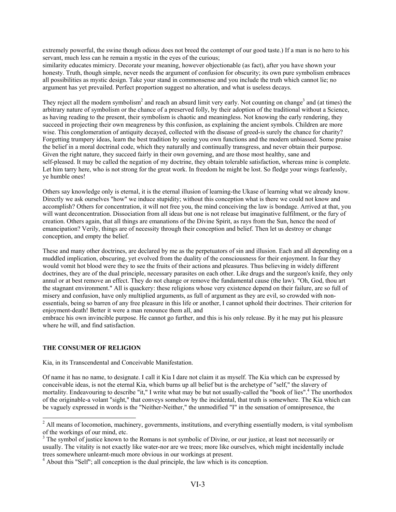extremely powerful, the swine though odious does not breed the contempt of our good taste.) If a man is no hero to his servant, much less can he remain a mystic in the eyes of the curious;

similarity educates mimicry. Decorate your meaning, however objectionable (as fact), after you have shown your honesty. Truth, though simple, never needs the argument of confusion for obscurity; its own pure symbolism embraces all possibilities as mystic design. Take your stand in commonsense and you include the truth which cannot lie; no argument has yet prevailed. Perfect proportion suggest no alteration, and what is useless decays.

They reject all the modern symbolism<sup>[2](#page-2-0)</sup> [a](#page-2-1)nd reach an absurd limit very early. Not counting on change<sup>3</sup> and (at times) the arbitrary nature of symbolism or the chance of a preserved folly, by their adoption of the traditional without a Science, as having reading to the present, their symbolism is chaotic and meaningless. Not knowing the early rendering, they succeed in projecting their own meagreness by this confusion, as explaining the ancient symbols. Children are more wise. This conglomeration of antiquity decayed, collected with the disease of greed-is surely the chance for charity? Forgetting trumpery ideas, learn the best tradition by seeing you own functions and the modern unbiassed. Some praise the belief in a moral doctrinal code, which they naturally and continually transgress, and never obtain their purpose. Given the right nature, they succeed fairly in their own governing, and are those most healthy, sane and self-pleased. It may be called the negation of my doctrine, they obtain tolerable satisfaction, whereas mine is complete. Let him tarry here, who is not strong for the great work. In freedom he might be lost. So fledge your wings fearlessly, ye humble ones!

Others say knowledge only is eternal, it is the eternal illusion of learning-the Ukase of learning what we already know. Directly we ask ourselves "how" we induce stupidity; without this conception what is there we could not know and accomplish? Others for concentration, it will not free you, the mind conceiving the law is bondage. Arrived at that, you will want deconcentration. Dissociation from all ideas but one is not release but imaginative fulfilment, or the fury of creation. Others again, that all things are emanations of the Divine Spirit, as rays from the Sun, hence the need of emancipation? Verily, things are of necessity through their conception and belief. Then let us destroy or change conception, and empty the belief.

These and many other doctrines, are declared by me as the perpetuators of sin and illusion. Each and all depending on a muddled implication, obscuring, yet evolved from the duality of the consciousness for their enjoyment. In fear they would vomit hot blood were they to see the fruits of their actions and pleasures. Thus believing in widely different doctrines, they are of the dual principle, necessary parasites on each other. Like drugs and the surgeon's knife, they only annul or at best remove an effect. They do not change or remove the fundamental cause (the law). "Oh, God, thou art the stagnant environment." All is quackery: these religions whose very existence depend on their failure, are so full of misery and confusion, have only multiplied arguments, as full of argument as they are evil, so crowded with nonessentials, being so barren of any free pleasure in this life or another, I cannot uphold their doctrines. Their criterion for enjoyment-death! Better it were a man renounce them all, and

embrace his own invincible purpose. He cannot go further, and this is his only release. By it he may put his pleasure where he will, and find satisfaction.

## **THE CONSUMER OF RELIGION**

 $\overline{a}$ 

Kia, in its Transcendental and Conceivable Manifestation.

Of name it has no name, to designate. I call it Kia I dare not claim it as myself. The Kia which can be expressed by conceivable ideas, is not the eternal Kia, which burns up all belief but is the archetype of "self," the slavery of mortality. Endeavouring to describe "it," I write what may be but not usually-called the "book of lies".<sup>[4](#page-2-2)</sup> The unorthodox of the originable-a volant "sight," that conveys somehow by the incidental, that truth is somewhere. The Kia which can be vaguely expressed in words is the "Neither-Neither," the unmodified "I" in the sensation of omnipresence, the

<span id="page-2-0"></span> $2$  All means of locomotion, machinery, governments, institutions, and everything essentially modern, is vital symbolism of the workings of our mind, etc.

<span id="page-2-1"></span><sup>&</sup>lt;sup>3</sup> The symbol of justice known to the Romans is not symbolic of Divine, or our justice, at least not necessarily or usually. The vitality is not exactly like water-nor are we trees; more like ourselves, which might incidentally include trees somewhere unlearnt-much more obvious in our workings at present. <sup>4</sup> About this "Self"; all conception is the dual principle, the law which is its conception.

<span id="page-2-2"></span>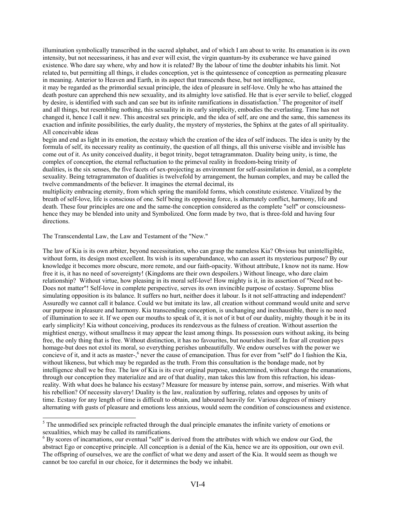illumination symbolically transcribed in the sacred alphabet, and of which I am about to write. Its emanation is its own intensity, but not necessariness, it has and ever will exist, the virgin quantum-by its exuberance we have gained existence. Who dare say where, why and how it is related? By the labour of time the doubter inhabits his limit. Not related to, but permitting all things, it eludes conception, yet is the quintessence of conception as permeating pleasure in meaning. Anterior to Heaven and Earth, in its aspect that transcends these, but not intelligence,

it may be regarded as the primordial sexual principle, the idea of pleasure in self-love. Only he who has attained the death posture can apprehend this new sexuality, and its almighty love satisfied. He that is ever servile to belief, clogged by desire, is identified with such and can see but its infinite ramifications in dissatisfaction.<sup>[5](#page-3-0)</sup> The progenitor of itself and all things, but resembling nothing, this sexuality in its early simplicity, embodies the everlasting. Time has not changed it, hence I call it new. This ancestral sex principle, and the idea of self, are one and the same, this sameness its exaction and infinite possibilities, the early duality, the mystery of mysteries, the Sphinx at the gates of all spirituality. All conceivable ideas

begin and end as light in its emotion, the ecstasy which the creation of the idea of self induces. The idea is unity by the formula of self, its necessary reality as continuity, the question of all things, all this universe visible and invisible has come out of it. As unity conceived duality, it begot trinity, begot tetragrammaton. Duality being unity, is time, the complex of conception, the eternal refluctuation to the primeval reality in freedom-being trinity of dualities, is the six senses, the five facets of sex-projecting as environment for self-assimilation in denial, as a complete

sexuality. Being tetragrammaton of dualities is twelvefold by arrangement, the human complex, and may be called the twelve commandments of the believer. It imagines the eternal decimal, its

multiplicity embracing eternity, from which spring the manifold forms, which constitute existence. Vitalized by the breath of self-love, life is conscious of one. Self being its opposing force, is alternately conflict, harmony, life and death. These four principles are one and the same-the conception considered as the complete "self" or consciousnesshence they may be blended into unity and Symbolized. One form made by two, that is three-fold and having four directions.

The Transcendental Law, the Law and Testament of the "New."

 $\overline{a}$ 

The law of Kia is its own arbiter, beyond necessitation, who can grasp the nameless Kia? Obvious but unintelligible, without form, its design most excellent. Its wish is its superabundance, who can assert its mysterious purpose? By our knowledge it becomes more obscure, more remote, and our faith-opacity. Without attribute, I know not its name. How free it is, it has no need of sovereignty! (Kingdoms are their own despoilers.) Without lineage, who dare claim relationship? Without virtue, how pleasing in its moral self-love! How mighty is it, in its assertion of "Need not be-Does not matter"! Self-love in complete perspective, serves its own invincible purpose of ecstasy. Supreme bliss simulating opposition is its balance. It suffers no hurt, neither does it labour. Is it not self-attracting and independent? Assuredly we cannot call it balance. Could we but imitate its law, all creation without command would unite and serve our purpose in pleasure and harmony. Kia transcending conception, is unchanging and inexhaustible, there is no need of illumination to see it. If we open our mouths to speak of it, it is not of it but of our duality, mighty though it be in its early simplicity! Kia without conceiving, produces its rendezvous as the fulness of creation. Without assertion the mightiest energy, without smallness it may appear the least among things. Its possession ours without asking, its being free, the only thing that is free. Without distinction, it has no favourites, but nourishes itself. In fear all creation pays homage-but does not extol its moral, so everything perishes unbeautifully. We endow ourselves with the power we concieve of it, and it acts as master-,<sup>[6](#page-3-1)</sup> never the cause of emancipation. Thus for ever from "self" do I fashion the Kia, without likeness, but which may be regarded as the truth. From this consultation is the bondage made, not by intelligence shall we be free. The law of Kia is its ever original purpose, undetermined, without change the emanations, through our conception they materialize and are of that duality, man takes this law from this refraction, his ideasreality. With what does he balance his ecstasy? Measure for measure by intense pain, sorrow, and miseries. With what his rebellion? Of necessity slavery! Duality is the law, realization by suffering, relates and opposes by units of time. Ecstasy for any length of time is difficult to obtain, and laboured heavily for. Various degrees of misery alternating with gusts of pleasure and emotions less anxious, would seem the condition of consciousness and existence.

<span id="page-3-0"></span> $<sup>5</sup>$  The unmodified sex principle refracted through the dual principle emanates the infinite variety of emotions or</sup> sexualities, which may be called its ramifications.

<span id="page-3-1"></span><sup>6</sup> By scores of incarnations, our eventual "self" is derived from the attributes with which we endow our God, the abstract Ego or conceptive principle. All conception is a denial of the Kia, hence we are its opposition, our own evil. The offspring of ourselves, we are the conflict of what we deny and assert of the Kia. It would seem as though we cannot be too careful in our choice, for it determines the body we inhabit.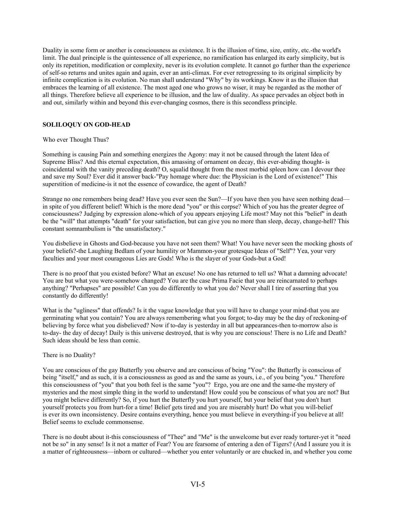Duality in some form or another is consciousness as existence. It is the illusion of time, size, entity, etc.-the world's limit. The dual principle is the quintessence of all experience, no ramification has enlarged its early simplicity, but is only its repetition, modification or complexity, never is its evolution complete. It cannot go further than the experience of self-so returns and unites again and again, ever an anti-climax. For ever retrogressing to its original simplicity by infinite complication is its evolution. No man shall understand "Why" by its workings. Know it as the illusion that embraces the learning of all existence. The most aged one who grows no wiser, it may be regarded as the mother of all things. Therefore believe all experience to be illusion, and the law of duality. As space pervades an object both in and out, similarly within and beyond this ever-changing cosmos, there is this secondless principle.

# **SOLILOQUY ON GOD-HEAD**

#### Who ever Thought Thus?

Something is causing Pain and something energizes the Agony: may it not be caused through the latent Idea of Supreme Bliss? And this eternal expectation, this amassing of ornament on decay, this ever-abiding thought- is coincidental with the vanity preceding death? O, squalid thought from the most morbid spleen how can I devour thee and save my Soul? Ever did it answer back-"Pay homage where due: the Physician is the Lord of existence!" This superstition of medicine-is it not the essence of cowardice, the agent of Death?

Strange no one remembers being dead? Have you ever seen the Sun?—If you have then you have seen nothing dead in spite of you different belief! Which is the more dead "you" or this corpse? Which of you has the greater degree of consciousness? Judging by expression alone-which of you appears enjoying Life most? May not this "belief" in death be the "will" that attempts "death" for your satisfaction, but can give you no more than sleep, decay, change-hell? This constant somnambulism is "the unsatisfactory."

You disbelieve in Ghosts and God-because you have not seen them? What! You have never seen the mocking ghosts of your beliefs?-the Laughing Bedlam of your humility or Mammon-your grotesque Ideas of "Self"? Yea, your very faculties and your most courageous Lies are Gods! Who is the slayer of your Gods-but a God!

There is no proof that you existed before? What an excuse! No one has returned to tell us? What a damning advocate! You are but what you were-somehow changed? You are the case Prima Facie that you are reincarnated to perhaps anything? "Perhapses" are possible! Can you do differently to what you do? Never shall I tire of asserting that you constantly do differently!

What is the "ugliness" that offends? Is it the vague knowledge that you will have to change your mind-that you are germinating what you contain? You are always remembering what you forgot; to-day may be the day of reckoning-of believing by force what you disbelieved? Now if to-day is yesterday in all but appearances-then to-morrow also is to-day- the day of decay! Daily is this universe destroyed, that is why you are conscious! There is no Life and Death? Such ideas should be less than comic.

## There is no Duality?

You are conscious of the gay Butterfly you observe and are conscious of being "You": the Butterfly is conscious of being "itself," and as such, it is a consciousness as good as and the same as yours, i.e., of you being "you." Therefore this consciousness of "you" that you both feel is the same "you"? Ergo, you are one and the same-the mystery of mysteries and the most simple thing in the world to understand! How could you be conscious of what you are not? But you might believe differently? So, if you hurt the Butterfly you hurt yourself, but your belief that you don't hurt yourself protects you from hurt-for a time! Belief gets tired and you are miserably hurt! Do what you will-belief is ever its own inconsistency. Desire contains everything, hence you must believe in everything-if you believe at all! Belief seems to exclude commonsense.

There is no doubt about it-this consciousness of "Thee" and "Me" is the unwelcome but ever ready torturer-yet it "need not be so" in any sense! Is it not a matter of Fear? You are fearsome of entering a den of Tigers? (And I assure you it is a matter of righteousness—inborn or cultured—whether you enter voluntarily or are chucked in, and whether you come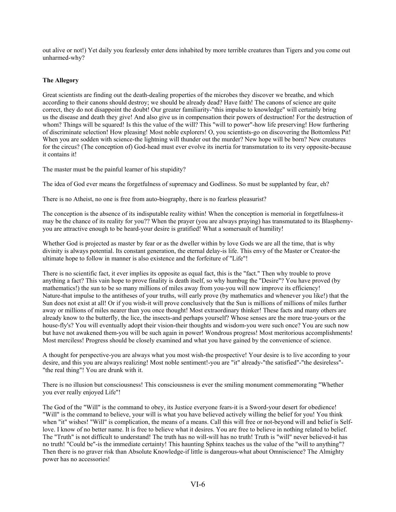out alive or not!) Yet daily you fearlessly enter dens inhabited by more terrible creatures than Tigers and you come out unharmed-why?

# **The Allegory**

Great scientists are finding out the death-dealing properties of the microbes they discover we breathe, and which according to their canons should destroy; we should be already dead? Have faith! The canons of science are quite correct, they do not disappoint the doubt! Our greater familiarity-"this impulse to knowledge" will certainly bring us the disease and death they give! And also give us in compensation their powers of destruction! For the destruction of whom? Things will be squared! Is this the value of the will? This "will to power"-how life preserving! How furthering of discriminate selection! How pleasing! Most noble explorers! O, you scientists-go on discovering the Bottomless Pit! When you are sodden with science-the lightning will thunder out the murder? New hope will be born? New creatures for the circus? (The conception of) God-head must ever evolve its inertia for transmutation to its very opposite-because it contains it!

The master must be the painful learner of his stupidity?

The idea of God ever means the forgetfulness of supremacy and Godliness. So must be supplanted by fear, eh?

There is no Atheist, no one is free from auto-biography, there is no fearless pleasurist?

The conception is the absence of its indisputable reality within! When the conception is memorial in forgetfulness-it may be the chance of its reality for you?? When the prayer (you are always praying) has transmutated to its Blasphemyyou are attractive enough to be heard-your desire is gratified! What a somersault of humility!

Whether God is projected as master by fear or as the dweller within by love Gods we are all the time, that is why divinity is always potential. Its constant generation, the eternal delay-is life. This envy of the Master or Creator-the ultimate hope to follow in manner is also existence and the forfeiture of "Life"!

There is no scientific fact, it ever implies its opposite as equal fact, this is the "fact." Then why trouble to prove anything a fact? This vain hope to prove finality is death itself, so why humbug the "Desire"? You have proved (by mathematics!) the sun to be so many millions of miles away from you-you will now improve its efficiency! Nature-that impulse to the antitheses of your truths, will early prove (by mathematics and whenever you like!) that the Sun does not exist at all! Or if you wish-it will prove conclusively that the Sun is millions of millions of miles further away or millions of miles nearer than you once thought! Most extraordinary thinker! These facts and many others are already know to the butterfly, the lice, the insects-and perhaps yourself? Whose senses are the more true-yours or the house-fly's? You will eventually adopt their vision-their thoughts and wisdom-you were such once? You are such now but have not awakened them-you will be such again in power! Wondrous progress! Most meritorious accomplishments! Most merciless! Progress should be closely examined and what you have gained by the convenience of science.

A thought for perspective-you are always what you most wish-the prospective! Your desire is to live according to your desire, and this you are always realizing! Most noble sentiment!-you are "it" already-"the satisfied"-"the desireless"- "the real thing"! You are drunk with it.

There is no illusion but consciousness! This consciousness is ever the smiling monument commemorating "Whether you ever really enjoyed Life"!

The God of the "Will" is the command to obey, its Justice everyone fears-it is a Sword-your desert for obedience! "Will" is the command to believe, your will is what you have believed actively willing the belief for you! You think when "it" wishes! "Will" is complication, the means of a means. Call this will free or not-beyond will and belief is Selflove. I know of no better name. It is free to believe what it desires. You are free to believe in nothing related to belief. The "Truth" is not difficult to understand! The truth has no will-will has no truth! Truth is "will" never believed-it has no truth! "Could be"-is the immediate certainty! This haunting Sphinx teaches us the value of the "will to anything"? Then there is no graver risk than Absolute Knowledge-if little is dangerous-what about Omniscience? The Almighty power has no accessories!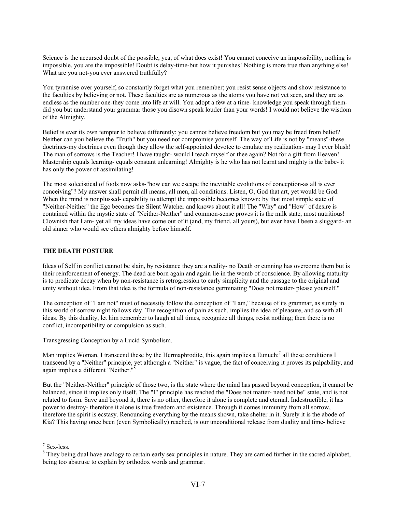Science is the accursed doubt of the possible, yea, of what does exist! You cannot conceive an impossibility, nothing is impossible, you are the impossible! Doubt is delay-time-but how it punishes! Nothing is more true than anything else! What are you not-you ever answered truthfully?

You tyrannise over yourself, so constantly forget what you remember; you resist sense objects and show resistance to the faculties by believing or not. These faculties are as numerous as the atoms you have not yet seen, and they are as endless as the number one-they come into life at will. You adopt a few at a time- knowledge you speak through themdid you but understand your grammar those you disown speak louder than your words! I would not believe the wisdom of the Almighty.

Belief is ever its own tempter to believe differently; you cannot believe freedom but you may be freed from belief? Neither can you believe the "Truth" but you need not compromise yourself. The way of Life is not by "means"-these doctrines-my doctrines even though they allow the self-appointed devotee to emulate my realization- may I ever blush! The man of sorrows is the Teacher! I have taught- would I teach myself or thee again? Not for a gift from Heaven! Mastership equals learning- equals constant unlearning! Almighty is he who has not learnt and mighty is the babe- it has only the power of assimilating!

The most solecistical of fools now asks-"how can we escape the inevitable evolutions of conception-as all is ever conceiving"? My answer shall permit all means, all men, all conditions. Listen, O, God that art, yet would be God. When the mind is nonplussed- capability to attempt the impossible becomes known; by that most simple state of "Neither-Neither" the Ego becomes the Silent Watcher and knows about it all! The "Why" and "How" of desire is contained within the mystic state of "Neither-Neither" and common-sense proves it is the milk state, most nutritious! Clownish that I am- yet all my ideas have come out of it (and, my friend, all yours), but ever have I been a sluggard- an old sinner who would see others almighty before himself.

## **THE DEATH POSTURE**

Ideas of Self in conflict cannot be slain, by resistance they are a reality- no Death or cunning has overcome them but is their reinforcement of energy. The dead are born again and again lie in the womb of conscience. By allowing maturity is to predicate decay when by non-resistance is retrogression to early simplicity and the passage to the original and unity without idea. From that idea is the formula of non-resistance germinating "Does not matter- please yourself."

The conception of "I am not" must of necessity follow the conception of "I am," because of its grammar, as surely in this world of sorrow night follows day. The recognition of pain as such, implies the idea of pleasure, and so with all ideas. By this duality, let him remember to laugh at all times, recognize all things, resist nothing; then there is no conflict, incompatibility or compulsion as such.

Transgressing Conception by a Lucid Symbolism.

Man implies Woman, I transcend these by the Hermaphrodite, this again implies a Eunuch;<sup>7</sup> all these conditions I transcend by a "Neither" principle, yet although a "Neither" is vague, the fact of conceiving it proves its palpability, and again implies a different "Neither."[8](#page-6-1)

But the "Neither-Neither" principle of those two, is the state where the mind has passed beyond conception, it cannot be balanced, since it implies only itself. The "I" principle has reached the "Does not matter- need not be" state, and is not related to form. Save and beyond it, there is no other, therefore it alone is complete and eternal. Indestructible, it has power to destroy- therefore it alone is true freedom and existence. Through it comes immunity from all sorrow, therefore the spirit is ecstasy. Renouncing everything by the means shown, take shelter in it. Surely it is the abode of Kia? This having once been (even Symbolically) reached, is our unconditional release from duality and time- believe

 $\overline{a}$ 

<span id="page-6-0"></span><sup>7</sup> Sex-less.

<span id="page-6-1"></span><sup>&</sup>lt;sup>8</sup> They being dual have analogy to certain early sex principles in nature. They are carried further in the sacred alphabet, being too abstruse to explain by orthodox words and grammar.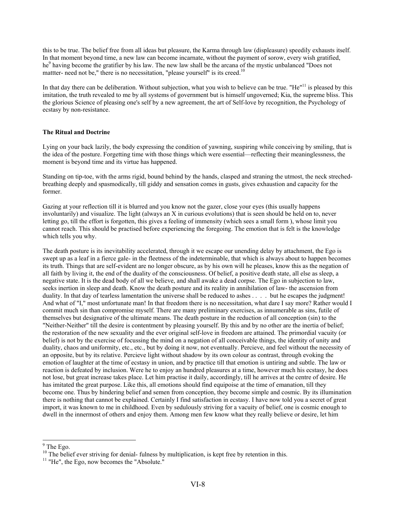this to be true. The belief free from all ideas but pleasure, the Karma through law (displeasure) speedily exhausts itself. In that moment beyond time, a new law can become incarnate, without the payment of sorow, every wish gratified, he<sup>9</sup> [h](#page-7-0)aving become the gratifier by his law. The new law shall be the arcana of the mystic unbalanced "Does not mattter- need not be," there is no necessitation, "please yourself" is its creed.<sup>[10](#page-7-1)</sup>

In that day there can be deliberation. Without subjection, what you wish to believe can be true. "He $"$ <sup>11</sup> is pleased by this imitation, the truth revealed to me by all systems of government but is himself ungoverned; Kia, the supreme bliss. This the glorious Science of pleasing one's self by a new agreement, the art of Self-love by recognition, the Psychology of ecstasy by non-resistance.

## **The Ritual and Doctrine**

Lying on your back lazily, the body expressing the condition of yawning, suspiring while conceiving by smiling, that is the idea of the posture. Forgetting time with those things which were essential—reflecting their meaninglessness, the moment is beyond time and its virtue has happened.

Standing on tip-toe, with the arms rigid, bound behind by the hands, clasped and straning the utmost, the neck strechedbreathing deeply and spasmodically, till giddy and sensation comes in gusts, gives exhaustion and capacity for the former.

Gazing at your reflection till it is blurred and you know not the gazer, close your eyes (this usually happens involuntarily) and visualize. The light (always an X in curious evolutions) that is seen should be held on to, never letting go, till the effort is forgotten, this gives a feeling of immensity (which sees a small form ), whose limit you cannot reach. This should be practised before experiencing the foregoing. The emotion that is felt is the knowledge which tells you why.

The death posture is its inevitability accelerated, through it we escape our unending delay by attachment, the Ego is swept up as a leaf in a fierce gale- in the fleetness of the indeterminable, that which is always about to happen becomes its truth. Things that are self-evident are no longer obscure, as by his own will he pleases, know this as the negation of all faith by living it, the end of the duality of the consciousness. Of belief, a positive death state, all else as sleep, a negative state. It is the dead body of all we believe, and shall awake a dead corpse. The Ego in subjection to law, seeks inertion in sleep and death. Know the death posture and its reality in annihilation of law- the ascension from duality. In that day of tearless lamentation the universe shall be reduced to ashes . . . . but he escapes the judgment! And what of "I," most unfortunate man! In that freedom there is no necessitation, what dare I say more? Rather would I commit much sin than compromise myself. There are many preliminary exercises, as innumerable as sins, futile of themselves but designative of the ultimate means. The death posture in the reduction of all conception (sin) to the "Neither-Neither" till the desire is contentment by pleasing yourself. By this and by no other are the inertia of belief; the restoration of the new sexuality and the ever original self-love in freedom are attained. The primordial vacuity (or belief) is not by the exercise of focussing the mind on a negation of all conceivable things, the identity of unity and duality, chaos and uniformity, etc., etc., but by doing it now, not eventually. Percieve, and feel without the necessity of an opposite, but by its relative. Percieve light without shadow by its own colour as contrast, through evoking the emotion of laughter at the time of ecstasy in union, and by practice till that emotion is untiring and subtle. The law or reaction is defeated by inclusion. Were he to enjoy an hundred pleasures at a time, however much his ecstasy, he does not lose, but great increase takes place. Let him practise it daily, accordingly, till he arrives at the centre of desire. He has imitated the great purpose. Like this, all emotions should find equipoise at the time of emanation, till they become one. Thus by hindering belief and semen from conception, they become simple and cosmic. By its illumination there is nothing that cannot be explained. Certainly I find satisfaction in ecstasy. I have now told you a secret of great import, it was known to me in childhood. Even by sedulously striving for a vacuity of belief, one is cosmic enough to dwell in the innermost of others and enjoy them. Among men few know what they really believe or desire, let him

 $\overline{a}$ 

<span id="page-7-0"></span> $9$  The Ego.

<span id="page-7-1"></span><sup>&</sup>lt;sup>10</sup> The belief ever striving for denial- fulness by multiplication, is kept free by retention in this. <sup>11</sup> "He", the Ego, now becomes the "Absolute."

<span id="page-7-2"></span>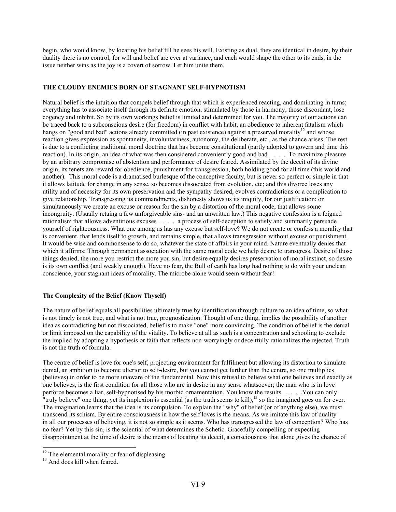begin, who would know, by locating his belief till he sees his will. Existing as dual, they are identical in desire, by their duality there is no control, for will and belief are ever at variance, and each would shape the other to its ends, in the issue neither wins as the joy is a covert of sorrow. Let him unite them.

# **THE CLOUDY ENEMIES BORN OF STAGNANT SELF-HYPNOTISM**

Natural belief is the intuition that compels belief through that which is experienced reacting, and dominating in turns; everything has to associate itself through its definite emotion, stimulated by those in harmony; those discordant, lose cogency and inhibit. So by its own workings belief is limited and determined for you. The majority of our actions can be traced back to a subconscious desire (for freedom) in conflict with habit, an obedience to inherent fatalism which hangs on "good and bad" actions already committed (in past existence) against a preserved morality<sup>12</sup> and whose reaction gives expression as spontaneity, involuntariness, autonomy, the deliberate, etc., as the chance arises. The rest is due to a conflicting traditional moral doctrine that has become constitutional (partly adopted to govern and time this reaction). In its origin, an idea of what was then considered conveniently good and bad . . . . To maximize pleasure by an arbitrary compromise of abstention and performance of desire feared. Assimilated by the deceit of its divine origin, its tenets are reward for obedience, punishment for transgression, both holding good for all time (this world and another). This moral code is a dramatised burlesque of the conceptive faculty, but is never so perfect or simple in that it allows latitude for change in any sense, so becomes dissociated from evolution, etc; and this divorce loses any utility and of necessity for its own preservation and the sympathy desired, evolves contradictions or a complication to give relationship. Transgressing its commandments, dishonesty shows us its iniquity, for our justification; or simultaneously we create an excuse or reason for the sin by a distortion of the moral code, that allows some incongruity. (Usually retaing a few unforgiveable sins- and an unwritten law.) This negative confession is a feigned rationalism that allows adventitious excuses . . . . a process of self-deception to satisfy and summarily persuade yourself of righteousness. What one among us has any excuse but self-love? We do not create or confess a morality that is convenient, that lends itself to growth, and remains simple, that allows transgression without excuse or punishment. It would be wise and commonsense to do so, whatever the state of affairs in your mind. Nature eventually denies that which it affirms: Through permanent association with the same moral code we help desire to transgress. Desire of those things denied, the more you restrict the more you sin, but desire equally desires preservation of moral instinct, so desire is its own conflict (and weakly enough). Have no fear, the Bull of earth has long had nothing to do with your unclean conscience, your stagnant ideas of morality. The microbe alone would seem without fear!

## **The Complexity of the Belief (Know Thyself)**

The nature of belief equals all possibilities ultimately true by identification through culture to an idea of time, so what is not timely is not true, and what is not true, prognostication. Thought of one thing, implies the possibility of another idea as contradicting but not dissociated, belief is to make "one" more convincing. The condition of belief is the denial or limit imposed on the capability of the vitality. To believe at all as such is a concentration and schooling to exclude the implied by adopting a hypothesis or faith that reflects non-worryingly or deceitfully rationalizes the rejected. Truth is not the truth of formula.

The centre of belief is love for one's self, projecting environment for fulfilment but allowing its distortion to simulate denial, an ambition to become ulterior to self-desire, but you cannot get further than the centre, so one multiplies (believes) in order to be more unaware of the fundamental. Now this refusal to believe what one believes and exactly as one believes, is the first condition for all those who are in desire in any sense whatsoever; the man who is in love perforce becomes a liar, self-hypnotised by his morbid ornamentation. You know the results. . . . .You can only "truly believe" one thing, yet its implexion is essential (as the truth seems to kill),<sup>13</sup> so the imagined goes on for ever. The imagination learns that the idea is its compulsion. To explain the "why" of belief (or of anything else), we must transcend its schism. By entire consciousness in how the self loves is the means. As we imitate this law of duality in all our processes of believing, it is not so simple as it seems. Who has transgressed the law of conception? Who has no fear? Yet by this sin, is the sciential of what determines the Schetic. Gracefully compelling or expecting disappointment at the time of desire is the means of locating its deceit, a consciousness that alone gives the chance of

-

<span id="page-8-0"></span><sup>&</sup>lt;sup>12</sup> The elemental morality or fear of displeasing.<br><sup>13</sup> And does kill when feared.

<span id="page-8-1"></span>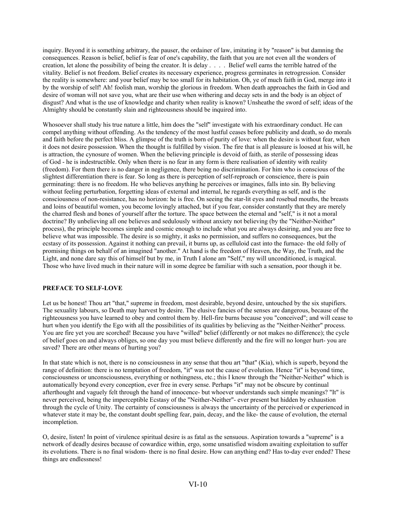inquiry. Beyond it is something arbitrary, the pauser, the ordainer of law, imitating it by "reason" is but damning the consequences. Reason is belief, belief is fear of one's capability, the faith that you are not even all the wonders of creation, let alone the possibility of being the creator. It is delay . . . . Belief well earns the terrible hatred of the vitality. Belief is not freedom. Belief creates its necessary experience, progress germinates in retrogression. Consider the reality is somewhere: and your belief may be too small for its habitation. Oh, ye of much faith in God, merge into it by the worship of self! Ah! foolish man, worship the glorious in freedom. When death approaches the faith in God and desire of woman will not save you, what are their use when withering and decay sets in and the body is an object of disgust? And what is the use of knowledge and charity when reality is known? Unsheathe the sword of self; ideas of the Almighty should be constantly slain and righteousness should be inquired into.

Whosoever shall study his true nature a little, him does the "self" investigate with his extraordinary conduct. He can compel anything without offending. As the tendency of the most lustful ceases before publicity and death, so do morals and faith before the perfect bliss. A glimpse of the truth is born of purity of love: when the desire is without fear, when it does not desire possession. When the thought is fulfilled by vision. The fire that is all pleasure is loosed at his will, he is attraction, the cynosure of women. When the believing principle is devoid of faith, as sterile of possessing ideas of God - he is indestructible. Only when there is no fear in any form is there realisation of identity with reality (freedom). For them there is no danger in negligence, there being no discrimination. For him who is conscious of the slightest differentiation there is fear. So long as there is perception of self-reproach or conscience, there is pain germinating: there is no freedom. He who believes anything he perceives or imagines, falls into sin. By believing without feeling perturbation, forgetting ideas of external and internal, he regards everything as self, and is the consciousness of non-resistance, has no horizon: he is free. On seeing the star-lit eyes and rosebud mouths, the breasts and loins of beautiful women, you become lovingly attached, but if you fear, consider constantly that they are merely the charred flesh and bones of yourself after the torture. The space between the eternal and "self," is it not a moral doctrine? By unbelieving all one believes and sedulously without anxiety not believing (by the "Neither-Neither" process), the principle becomes simple and cosmic enough to include what you are always desiring, and you are free to believe what was impossible. The desire is so mighty, it asks no permission, and suffers no consequences, but the ecstasy of its possession. Against it nothing can prevail, it burns up, as celluloid cast into the furnace- the old folly of promising things on behalf of an imagined "another." At hand is the freedom of Heaven, the Way, the Truth, and the Light, and none dare say this of himself but by me, in Truth I alone am "Self," my will unconditioned, is magical. Those who have lived much in their nature will in some degree be familiar with such a sensation, poor though it be.

## **PREFACE TO SELF-LOVE**

Let us be honest! Thou art "that," supreme in freedom, most desirable, beyond desire, untouched by the six stupifiers. The sexuality labours, so Death may harvest by desire. The elusive fancies of the senses are dangerous, because of the righteousness you have learned to obey and control them by. Hell-fire burns because you "conceived"; and will cease to hurt when you identify the Ego with all the possibilities of its qualities by believing as the "Neither-Neither" process. You are fire yet you are scorched! Because you have "willed" belief (differently or not makes no difference); the cycle of belief goes on and always obliges, so one day you must believe differently and the fire will no longer hurt- you are saved? There are other means of hurting you?

In that state which is not, there is no consciousness in any sense that thou art "that" (Kia), which is superb, beyond the range of definition: there is no temptation of freedom, "it" was not the cause of evolution. Hence "it" is beyond time, consciousness or unconsciousness, everything or nothingness, etc.; this I know through the "Neither-Neither" which is automatically beyond every conception, ever free in every sense. Perhaps "it" may not be obscure by continual afterthought and vaguely felt through the hand of innocence- but whoever understands such simple meanings? "It" is never perceived, being the imperceptible Ecstasy of the "Neither-Neither"- ever present but hidden by exhaustion through the cycle of Unity. The certainty of consciousness is always the uncertainty of the perceived or experienced in whatever state it may be, the constant doubt spelling fear, pain, decay, and the like- the cause of evolution, the eternal incompletion.

O, desire, listen! In point of virulence spiritual desire is as fatal as the sensuous. Aspiration towards a "supreme" is a network of deadly desires because of cowardice within, ergo, some unsatisfied wisdom awaiting exploitation to suffer its evolutions. There is no final wisdom- there is no final desire. How can anything end? Has to-day ever ended? These things are endlessness!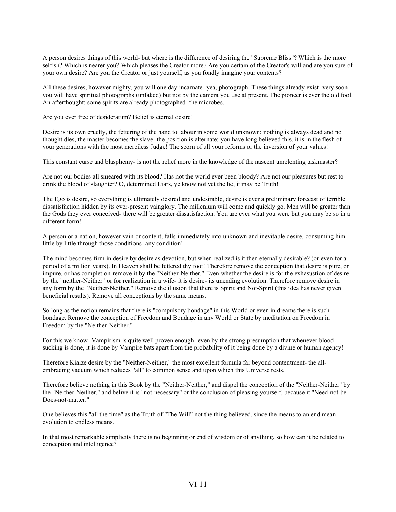A person desires things of this world- but where is the difference of desiring the "Supreme Bliss"? Which is the more selfish? Which is nearer you? Which pleases the Creator more? Are you certain of the Creator's will and are you sure of your own desire? Are you the Creator or just yourself, as you fondly imagine your contents?

All these desires, however mighty, you will one day incarnate- yea, photograph. These things already exist- very soon you will have spiritual photographs (unfaked) but not by the camera you use at present. The pioneer is ever the old fool. An afterthought: some spirits are already photographed- the microbes.

Are you ever free of desideratum? Belief is eternal desire!

Desire is its own cruelty, the fettering of the hand to labour in some world unknown; nothing is always dead and no thought dies, the master becomes the slave- the position is alternate; you have long believed this, it is in the flesh of your generations with the most merciless Judge! The scorn of all your reforms or the inversion of your values!

This constant curse and blasphemy- is not the relief more in the knowledge of the nascent unrelenting taskmaster?

Are not our bodies all smeared with its blood? Has not the world ever been bloody? Are not our pleasures but rest to drink the blood of slaughter? O, determined Liars, ye know not yet the lie, it may be Truth!

The Ego is desire, so everything is ultimately desired and undesirable, desire is ever a preliminary forecast of terrible dissatisfaction hidden by its ever-present vainglory. The millenium will come and quickly go. Men will be greater than the Gods they ever conceived- there will be greater dissatisfaction. You are ever what you were but you may be so in a different form!

A person or a nation, however vain or content, falls immediately into unknown and inevitable desire, consuming him little by little through those conditions- any condition!

The mind becomes firm in desire by desire as devotion, but when realized is it then eternally desirable? (or even for a period of a million years). In Heaven shall be fettered thy foot! Therefore remove the conception that desire is pure, or impure, or has completion-remove it by the "Neither-Neither." Even whether the desire is for the exhasustion of desire by the "neither-Neither" or for realization in a wife- it is desire- its unending evolution. Therefore remove desire in any form by the "Neither-Neither." Remove the illusion that there is Spirit and Not-Spirit (this idea has never given beneficial results). Remove all conceptions by the same means.

So long as the notion remains that there is "compulsory bondage" in this World or even in dreams there is such bondage. Remove the conception of Freedom and Bondage in any World or State by meditation on Freedom in Freedom by the "Neither-Neither."

For this we know- Vampirism is quite well proven enough- even by the strong presumption that whenever bloodsucking is done, it is done by Vampire bats apart from the probability of it being done by a divine or human agency!

Therefore Kiaize desire by the "Neither-Neither," the most excellent formula far beyond contentment- the allembracing vacuum which reduces "all" to common sense and upon which this Universe rests.

Therefore believe nothing in this Book by the "Neither-Neither," and dispel the conception of the "Neither-Neither" by the "Neither-Neither," and belive it is "not-necessary" or the conclusion of pleasing yourself, because it "Need-not-be-Does-not-matter."

One believes this "all the time" as the Truth of "The Will" not the thing believed, since the means to an end mean evolution to endless means.

In that most remarkable simplicity there is no beginning or end of wisdom or of anything, so how can it be related to conception and intelligence?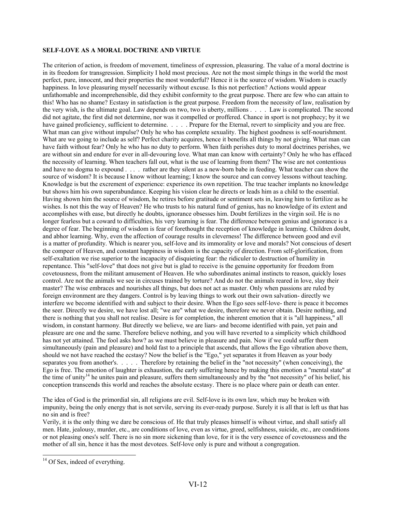#### **SELF-LOVE AS A MORAL DOCTRINE AND VIRTUE**

The criterion of action, is freedom of movement, timeliness of expression, pleasuring. The value of a moral doctrine is in its freedom for transgression. Simplicity I hold most precious. Are not the most simple things in the world the most perfect, pure, innocent, and their properties the most wonderful? Hence it is the source of wisdom. Wisdom is exactly happiness. In love pleasuring myself necessarily without excuse. Is this not perfection? Actions would appear unfathomable and incomprehensible, did they exhibit conformity to the great purpose. There are few who can attain to this! Who has no shame? Ecstasy in satisfaction is the great purpose. Freedom from the necessity of law, realisation by the very wish, is the ultimate goal. Law depends on two, two is uberty, millions . . . . Law is complicated. The second did not agitate, the first did not determine, nor was it compelled or proffered. Chance in sport is not prophecy; by it we have gained proficiency, sufficient to determine. . . . . Prepare for the Eternal, revert to simplicity and you are free. What man can give without impulse? Only he who has complete sexuality. The highest goodness is self-nourishment. What are we going to include as self? Perfect charity acquires, hence it benefits all things by not giving. What man can have faith without fear? Only he who has no duty to perform. When faith perishes duty to moral doctrines perishes, we are without sin and endure for ever in all-devouring love. What man can know with certainty? Only he who has effaced the necessity of learning. When teachers fall out, what is the use of learning from them? The wise are not contentious and have no dogma to expound . . . . rather are they silent as a new-born babe in feeding. What teacher can show the source of wisdom? It is because I know without learning; I know the source and can convey lessons without teaching. Knowledge is but the excrement of experience: experience its own repetition. The true teacher implants no knowledge but shows him his own superabundance. Keeping his vision clear he directs or leads him as a child to the essential. Having shown him the source of wisdom, he retires before gratitude or sentiment sets in, leaving him to fertilize as he wishes. Is not this the way of Heaven? He who trusts to his natural fund of genius, has no knowledge of its extent and accomplishes with ease, but directly he doubts, ignorance obsesses him. Doubt fertilizes in the virgin soil. He is no longer fearless but a coward to difficulties, his very learning is fear. The difference between genius and ignorance is a degree of fear. The beginning of wisdom is fear of forethought the reception of knowledge in learning. Children doubt, and abhor learning. Why, even the affection of courage results in cleverness! The difference between good and evil is a matter of profundity. Which is nearer you, self-love and its immorality or love and morals? Not conscious of desert the compeer of Heaven, and constant happiness in wisdom is the capacity of direction. From self-glorification, from self-exaltation we rise superior to the incapacity of disquieting fear: the ridiculer to destruction of humility in repentance. This "self-love" that does not give but is glad to receive is the genuine opportunity for freedom from covetousness, from the militant amusement of Heaven. He who subordinates animal instincts to reason, quickly loses control. Are not the animals we see in circuses trained by torture? And do not the animals reared in love, slay their master? The wise embraces and nourishes all things, but does not act as master. Only when passions are ruled by foreign environment are they dangers. Control is by leaving things to work out their own salvation- directly we interfere we become identified with and subject to their desire. When the Ego sees self-love- there is peace it becomes the seer. Directly we desire, we have lost all; "we are" what we desire, therefore we never obtain. Desire nothing, and there is nothing that you shall not realise. Desire is for completion, the inherent emotion that it is "all happiness," all wisdom, in constant harmony. But directly we believe, we are liars- and become identified with pain, yet pain and pleasure are one and the same. Therefore believe nothing, and you will have reverted to a simplicity which childhood has not yet attained. The fool asks how? as we must believe in pleasure and pain. Now if we could suffer them simultaneously (pain and pleasure) and hold fast to a principle that ascends, that allows the Ego vibration above them, should we not have reached the ecstasy? Now the belief is the "Ego," yet separates it from Heaven as your body separates you from another's. . . . . Therefore by retaining the belief in the "not necessity" (when conceiving), the Ego is free. The emotion of laughter is exhaustion, the early suffering hence by making this emotion a "mental state" at the time of unity<sup>14</sup> he unites pain and pleasure, suffers them simultaneously and by the "not necessity" of his belief, his conception transcends this world and reaches the absolute ecstasy. There is no place where pain or death can enter.

The idea of God is the primordial sin, all religions are evil. Self-love is its own law, which may be broken with impunity, being the only energy that is not servile, serving its ever-ready purpose. Surely it is all that is left us that has no sin and is free?

Verily, it is the only thing we dare be conscious of. He that truly pleases himself is wihout virtue, and shall satisfy all men. Hate, jealousy, murder, etc., are conditions of love, even as virtue, greed, selfishness, suicide, etc., are conditions or not pleasing ones's self. There is no sin more sickening than love, for it is the very essence of covetousness and the mother of all sin, hence it has the most devotees. Self-love only is pure and without a congregation.

-

<span id="page-11-0"></span><sup>&</sup>lt;sup>14</sup> Of Sex, indeed of everything.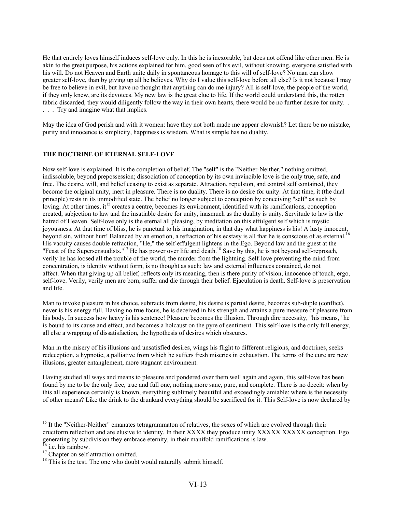He that entirely loves himself induces self-love only. In this he is inexorable, but does not offend like other men. He is akin to the great purpose, his actions explained for him, good seen of his evil, without knowing, everyone satisfied with his will. Do not Heaven and Earth unite daily in spontaneous homage to this will of self-love? No man can show greater self-love, than by giving up all he believes. Why do I value this self-love before all else? Is it not because I may be free to believe in evil, but have no thought that anything can do me injury? All is self-love, the people of the world, if they only knew, are its devotees. My new law is the great clue to life. If the world could understand this, the rotten fabric discarded, they would diligently follow the way in their own hearts, there would be no further desire for unity. . . . Try and imagine what that implies.

May the idea of God perish and with it women: have they not both made me appear clownish? Let there be no mistake, purity and innocence is simplicity, happiness is wisdom. What is simple has no duality.

## **THE DOCTRINE OF ETERNAL SELF-LOVE**

Now self-love is explained. It is the completion of belief. The "self" is the "Neither-Neither," nothing omitted, indissoluble, beyond prepossession; dissociation of conception by its own invincible love is the only true, safe, and free. The desire, will, and belief ceasing to exist as separate. Attraction, repulsion, and control self contained, they become the original unity, inert in pleasure. There is no duality. There is no desire for unity. At that time, it (the dual principle) rests in its unmodified state. The belief no longer subject to conception by conceiving "self" as such by loving. At other times, it<sup>15</sup> creates a centre, becomes its environment, identified with its ramifications, conception created, subjection to law and the insatiable desire for unity, inasmuch as the duality is unity. Servitude to law is the hatred of Heaven. Self-love only is the eternal all pleasing, by meditation on this effulgent self which is mystic joyousness. At that time of bliss, he is punctual to his imagination, in that day what happiness is his! A lusty innocent, beyond sin, without hurt! Balanced by an emotion, a refraction of his ecstasy is all that he is conscious of as external.<sup>[16](#page-12-1)</sup> His vacuity causes double refraction, "He," the self-effulgent lightens in the Ego. Beyond law and the guest at the "Feast of the Supersensualists."<sup>17</sup> He has power over life and death.<sup>18</sup> Save by this, he is not beyond self-reproach, verily he has loosed all the trouble of the world, the murder from the lightning. Self-love preventing the mind from concentration, is identity without form, is no thought as such; law and external influences contained, do not affect. When that giving up all belief, reflects only its meaning, then is there purity of vision, innocence of touch, ergo, self-love. Verily, verily men are born, suffer and die through their belief. Ejaculation is death. Self-love is preservation and life.

Man to invoke pleasure in his choice, subtracts from desire, his desire is partial desire, becomes sub-duple (conflict), never is his energy full. Having no true focus, he is deceived in his strength and attains a pure measure of pleasure from his body. In success how heavy is his sentence! Pleasure becomes the illusion. Through dire necessity, "his means," he is bound to its cause and effect, and becomes a holcaust on the pyre of sentiment. This self-love is the only full energy, all else a wrapping of dissatisfaction, the hypothesis of desires which obscures.

Man in the misery of his illusions and unsatisfied desires, wings his flight to different religions, and doctrines, seeks redeception, a hypnotic, a palliative from which he suffers fresh miseries in exhaustion. The terms of the cure are new illusions, greater entanglement, more stagnant environment.

Having studied all ways and means to pleasure and pondered over them well again and again, this self-love has been found by me to be the only free, true and full one, nothing more sane, pure, and complete. There is no deceit: when by this all experience certainly is known, everything sublimely beautiful and exceedingly amiable: where is the necessity of other means? Like the drink to the drunkard everything should be sacrificed for it. This Self-love is now declared by

 $\overline{a}$ 

<span id="page-12-0"></span><sup>&</sup>lt;sup>15</sup> It the "Neither-Neither" emanates tetragrammaton of relatives, the sexes of which are evolved through their cruciform reflection and are elusive to identity. In their XXXX they produce unity XXXXX XXXXX conception. Ego generating by subdivision they embrace eternity, in their manifold ramifications is law.<br><sup>16</sup> i.e. his rainbow. <sup>17</sup> Chapter on self-attraction omitted.<br><sup>18</sup> This is the test. The one who doubt would naturally submit hims

<span id="page-12-2"></span><span id="page-12-1"></span>

<span id="page-12-3"></span>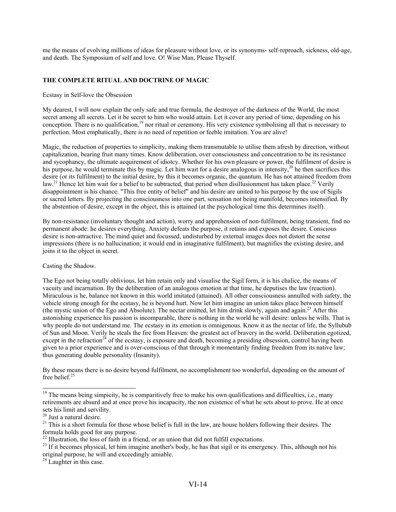me the means of evolving millions of ideas for pleasure without love, or its synonyms- self-reproach, sickness, old-age, and death. The Symposium of self and love. O! Wise Man, Please Thyself.

## **THE COMPLETE RITUAL AND DOCTRINE OF MAGIC**

Ecstasy in Self-love the Obsession

My dearest, I will now explain the only safe and true formula, the destroyer of the darkness of the World, the most secret among all secrets. Let it be secret to him who would attain. Let it cover any period of time, depending on his conception. There is no qualification,<sup>19</sup> nor ritual or ceremony. His very existence symbolising all that is necessary to perfection. Most emphatically, there is no need of repetition or feeble imitation. You are alive!

Magic, the reduction of properties to simplicity, making them transmutable to utilise them afresh by direction, without capitalization, bearing fruit many times. Know deliberation, over consciousness and concentration to be its resistance and sycophancy, the ultimate acquirement of idiotcy. Whether for his own pleasure or power, the fulfilment of desire is his purpose, he would terminate this by magic. Let him wait for a desire analogous in intensity, $^{20}$  he then sacrifices this desire (or its fulfilment) to the initial desire, by this it becomes organic, the quantum. He has not attained freedom from law.<sup>21</sup> Hence let him wait for a belief to be subtracted, that period when disillusionment has taken place.<sup>22</sup> Verily disappointment is his chance. "This free entity of belief" and his desire are united to his purpose by the use of Sigils or sacred letters. By projecting the consciousness into one part, sensation not being manifold, becomes intensified. By the abstention of desire, except in the object, this is attained (at the psychological time this determines itself).

By non-resistance (involuntary thought and action), worry and apprehension of non-fulfilment, being transient, find no permanent abode: he desires everything. Anxiety defeats the purpose, it retains and exposes the desire. Conscious desire is non-attractive. The mind quiet and focussed, undisturbed by external images does not distort the sense impressions (there is no hallucination; it would end in imaginative fulfilment), but magnifies the existing desire, and joins it to the object in secret.

Casting the Shadow.

The Ego not being totally oblivious, let him retain only and visualise the Sigil form, it is his chalice, the means of vacuity and incarnation. By the deliberation of an analogous emotion at that time, he deputises the law (reaction). Miraculous is he, balance not known in this world imitated (attained). All other consciousness annulled with safety, the vehicle strong enough for the ecstasy, he is beyond hurt. Now let him imagine an union takes place between himself (the mystic union of the Ego and Absolute). The nectar emitted, let him drink slowly, again and again.[23 A](#page-13-4)fter this astonishing experience his passion is incomparable, there is nothing in the world he will desire: unless he wills. That is why people do not understand me. The ecstasy in its emotion is omnigenous. Know it as the nectar of life, the Syllubub of Sun and Moon. Verily he steals the fire from Heaven: the greatest act of bravery in the world. Deliberation egotized, except in the refraction<sup>24</sup> of the ecstasy, is exposure and death, becoming a presiding obsession, control having been given to a prior experience and is over-conscious of that through it momentarily finding freedom from its native law; thus generating double personality (Insanity).

By these means there is no desire beyond fulfilment, no accomplishment too wonderful, depending on the amount of free belief.[25](#page-13-4)

-

<span id="page-13-0"></span> $19$  The means being simpicity, he is comparitively free to make his own qualifications and difficulties, i.e., many retirements are absurd and at once prove his incapacity, the non existence of what he sets about to prove. He at once sets his limit and servility.<br><sup>20</sup> Just a natural desire.

<span id="page-13-1"></span>

<span id="page-13-2"></span> $21$  This is a short formula for those whose belief is full in the law, are house holders following their desires. The formula holds good for any purpose.<br><sup>22</sup> Illustration, the loss of faith in a friend, or an union that did not fulfill expectations.

<span id="page-13-3"></span>

<span id="page-13-4"></span><sup>&</sup>lt;sup>23</sup> If it becomes physical, let him imagine another's body, he has that sigil or its emergency. This, although not his original purpose, he will and exceedingly amiable.

<span id="page-13-5"></span> $24$  Laughter in this case.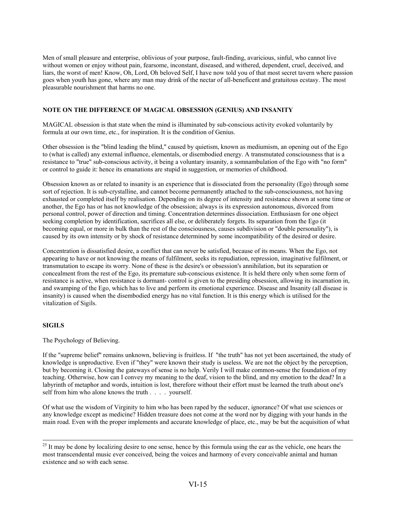Men of small pleasure and enterprise, oblivious of your purpose, fault-finding, avaricious, sinful, who cannot live without women or enjoy without pain, fearsome, inconstant, diseased, and withered, dependent, cruel, deceived, and liars, the worst of men! Know, Oh, Lord, Oh beloved Self, I have now told you of that most secret tavern where passion goes when youth has gone, where any man may drink of the nectar of all-beneficent and gratuitous ecstasy. The most pleasurable nourishment that harms no one.

# **NOTE ON THE DIFFERENCE OF MAGICAL OBSESSION (GENIUS) AND INSANITY**

MAGICAL obsession is that state when the mind is illuminated by sub-conscious activity evoked voluntarily by formula at our own time, etc., for inspiration. It is the condition of Genius.

Other obsession is the "blind leading the blind," caused by quietism, known as mediumism, an opening out of the Ego to (what is called) any external influence, elementals, or disembodied energy. A transmutated consciousness that is a resistance to "true" sub-conscious activity, it being a voluntary insanity, a somnambulation of the Ego with "no form" or control to guide it: hence its emanations are stupid in suggestion, or memories of childhood.

Obsession known as or related to insanity is an experience that is dissociated from the personality (Ego) through some sort of rejection. It is sub-crystalline, and cannot become permanently attached to the sub-consciousness, not having exhausted or completed itself by realisation. Depending on its degree of intensity and resistance shown at some time or another, the Ego has or has not knowledge of the obsession; always is its expression autonomous, divorced from personal control, power of direction and timing. Concentration determines dissociation. Enthusiasm for one object seeking completion by identification, sacrifices all else, or deliberately forgets. Its separation from the Ego (it becoming equal, or more in bulk than the rest of the consciousness, causes subdivision or "double personality"), is caused by its own intensity or by shock of resistance determined by some incompatibility of the desired or desire.

Concentration is dissatisfied desire, a conflict that can never be satisfied, because of its means. When the Ego, not appearing to have or not knowing the means of fulfilment, seeks its repudiation, repression, imaginative fulfilment, or transmutation to escape its worry. None of these is the desire's or obsession's annihilation, but its separation or concealment from the rest of the Ego, its premature sub-conscious existence. It is held there only when some form of resistance is active, when resistance is dormant- control is given to the presiding obsession, allowing its incarnation in, and swamping of the Ego, which has to live and perform its emotional experience. Disease and Insanity (all disease is insanity) is caused when the disembodied energy has no vital function. It is this energy which is utilised for the vitalization of Sigils.

# **SIGILS**

## The Psychology of Believing.

If the "supreme belief" remains unknown, believing is fruitless. If "the truth" has not yet been ascertained, the study of knowledge is unproductive. Even if "they" were known their study is useless. We are not the object by the perception, but by becoming it. Closing the gateways of sense is no help. Verily I will make common-sense the foundation of my teaching. Otherwise, how can I convey my meaning to the deaf, vision to the blind, and my emotion to the dead? In a labyrinth of metaphor and words, intuition is lost, therefore without their effort must be learned the truth about one's self from him who alone knows the truth . . . . yourself.

Of what use the wisdom of Virginity to him who has been raped by the seducer, ignorance? Of what use sciences or any knowledge except as medicine? Hidden treasure does not come at the word nor by digging with your hands in the main road. Even with the proper implements and accurate knowledge of place, etc., may be but the acquisition of what

<sup>&</sup>lt;sup>25</sup> It may be done by localizing desire to one sense, hence by this formula using the ear as the vehicle, one hears the most transcendental music ever conceived, being the voices and harmony of every conceivable animal and human existence and so with each sense.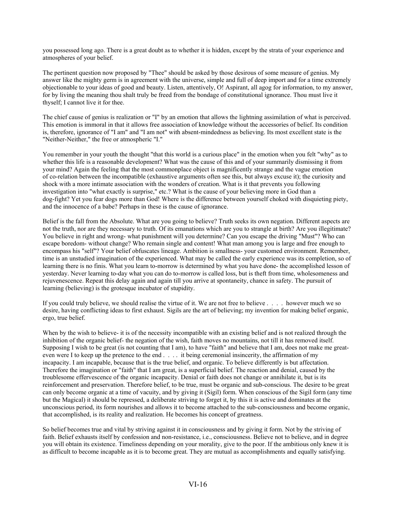you possessed long ago. There is a great doubt as to whether it is hidden, except by the strata of your experience and atmospheres of your belief.

The pertinent question now proposed by "Thee" should be asked by those desirous of some measure of genius. My answer like the mighty germ is in agreement with the universe, simple and full of deep import and for a time extremely objectionable to your ideas of good and beauty. Listen, attentively, O! Aspirant, all agog for information, to my answer, for by living the meaning thou shalt truly be freed from the bondage of constitutional ignorance. Thou must live it thyself; I cannot live it for thee.

The chief cause of genius is realization or "I" by an emotion that allows the lightning assimilation of what is perceived. This emotion is immoral in that it allows free association of knowledge without the accessories of belief. Its condition is, therefore, ignorance of "I am" and "I am not" with absent-mindedness as believing. Its most excellent state is the "Neither-Neither," the free or atmospheric "I."

You remember in your youth the thought "that this world is a curious place" in the emotion when you felt "why" as to whether this life is a reasonable development? What was the cause of this and of your summarily dismissing it from your mind? Again the feeling that the most commonplace object is magnificently strange and the vague emotion of co-relation between the incompatible (exhaustive arguments often see this, but always excuse it); the curiosity and shock with a more intimate association with the wonders of creation. What is it that prevents you following investigation into "what exactly is surprise," etc.? What is the cause of your believing more in God than a dog-fight? Yet you fear dogs more than God! Where is the difference between yourself choked with disquieting piety, and the innocence of a babe? Perhaps in these is the cause of ignorance.

Belief is the fall from the Absolute. What are you going to believe? Truth seeks its own negation. Different aspects are not the truth, nor are they necessary to truth. Of its emanations which are you to strangle at birth? Are you illegitimate? You believe in right and wrong- what punishment will you determine? Can you escape the driving "Must"? Who can escape boredom- without change? Who remain single and content! What man among you is large and free enough to encompass his "self"? Your belief obfuscates lineage. Ambition is smallness- your customed environment. Remember, time is an unstudied imagination of the experienced. What may be called the early experience was its completion, so of learning there is no finis. What you learn to-morrow is determined by what you have done- the accomplished lesson of yesterday. Never learning to-day what you can do to-morrow is called loss, but is theft from time, wholesomeness and rejuvenescence. Repeat this delay again and again till you arrive at spontaneity, chance in safety. The pursuit of learning (believing) is the grotesque incubator of stupidity.

If you could truly believe, we should realise the virtue of it. We are not free to believe . . . . however much we so desire, having conflicting ideas to first exhaust. Sigils are the art of believing; my invention for making belief organic, ergo, true belief.

When by the wish to believe- it is of the necessity incompatible with an existing belief and is not realized through the inhibition of the organic belief- the negation of the wish, faith moves no mountains, not till it has removed itself. Supposing I wish to be great (is not counting that I am), to have "faith" and believe that I am, does not make me greateven were I to keep up the pretence to the end . . . . it being ceremonial insincerity, the affirmation of my incapacity. I am incapable, because that is the true belief, and organic. To believe differently is but affectation. Therefore the imagination or "faith" that I am great, is a superficial belief. The reaction and denial, caused by the troublesome effervescence of the organic incapacity. Denial or faith does not change or annihilate it, but is its reinforcement and preservation. Therefore belief, to be true, must be organic and sub-conscious. The desire to be great can only become organic at a time of vacuity, and by giving it (Sigil) form. When conscious of the Sigil form (any time but the Magical) it should be repressed, a deliberate striving to forget it, by this it is active and dominates at the unconscious period, its form nourishes and allows it to become attached to the sub-consciousness and become organic, that accomplished, is its reality and realization. He becomes his concept of greatness.

So belief becomes true and vital by striving against it in consciousness and by giving it form. Not by the striving of faith. Belief exhausts itself by confession and non-resistance, i.e., consciousness. Believe not to believe, and in degree you will obtain its existence. Timeliness depending on your morality, give to the poor. If the ambitious only knew it is as difficult to become incapable as it is to become great. They are mutual as accomplishments and equally satisfying.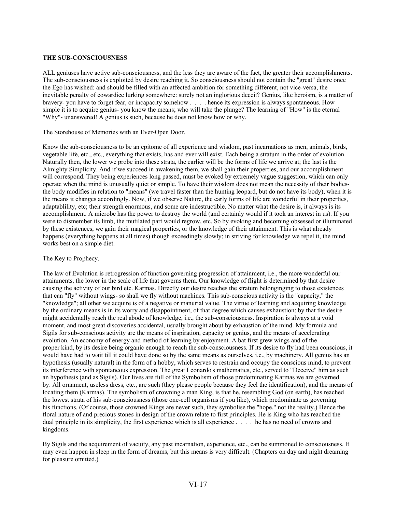#### **THE SUB-CONSCIOUSNESS**

ALL geniuses have active sub-consciousness, and the less they are aware of the fact, the greater their accomplishments. The sub-consciousness is exploited by desire reaching it. So consciousness should not contain the "great" desire once the Ego has wished: and should be filled with an affected ambition for something different, not vice-versa, the inevitable penalty of cowardice lurking somewhere: surely not an inglorious deceit? Genius, like heroism, is a matter of bravery- you have to forget fear, or incapacity somehow . . . . hence its expression is always spontaneous. How simple it is to acquire genius- you know the means; who will take the plunge? The learning of "How" is the eternal "Why"- unanswered! A genius is such, because he does not know how or why.

#### The Storehouse of Memories with an Ever-Open Door.

Know the sub-consciousness to be an epitome of all experience and wisdom, past incarnations as men, animals, birds, vegetable life, etc., etc., everything that exists, has and ever will exist. Each being a stratum in the order of evolution. Naturally then, the lower we probe into these strata, the earlier will be the forms of life we arrive at; the last is the Almighty Simplicity. And if we succeed in awakening them, we shall gain their properties, and our accomplishment will correspond. They being experiences long passed, must be evoked by extremely vague suggestion, which can only operate when the mind is unusually quiet or simple. To have their wisdom does not mean the necessity of their bodiesthe body modifies in relation to "means" (we travel faster than the hunting leopard, but do not have its body), when it is the means it changes accordingly. Now, if we observe Nature, the early forms of life are wonderful in their properties, adaptablility, etc; their strength enormous, and some are indestructible. No matter what the desire is, it always is its accomplishment. A microbe has the power to destroy the world (and certainly would if it took an interest in us). If you were to dismember its limb, the mutilated part would regrow, etc. So by evoking and becoming obsessed or illuminated by these existences, we gain their magical properties, or the knowledge of their attainment. This is what already happens (everything happens at all times) though exceedingly slowly; in striving for knowledge we repel it, the mind works best on a simple diet.

#### The Key to Prophecy.

The law of Evolution is retrogression of function governing progression of attainment, i.e., the more wonderful our attainments, the lower in the scale of life that governs them. Our knowledge of flight is determined by that desire causing the activity of our bird etc. Karmas. Directly our desire reaches the stratum belonginging to those existences that can "fly" without wings- so shall we fly without machines. This sub-conscious activity is the "capacity," the "knowledge"; all other we acquire is of a negative or manurial value. The virtue of learning and acquiring knowledge by the ordinary means is in its worry and disappointment, of that degree which causes exhaustion: by that the desire might accidentally reach the real abode of knowledge, i.e., the sub-consciousness. Inspiration is always at a void moment, and most great discoveries accidental, usually brought about by exhaustion of the mind. My formula and Sigils for sub-conscious activity are the means of inspiration, capacity or genius, and the means of accelerating evolution. An economy of energy and method of learning by enjoyment. A bat first grew wings and of the proper kind, by its desire being organic enough to reach the sub-consciousness. If its desire to fly had been conscious, it would have had to wait till it could have done so by the same means as ourselves, i.e., by machinery. All genius has an hypothesis (usually natural) in the form of a hobby, which serves to restrain and occupy the conscious mind, to prevent its interference with spontaneous expression. The great Leonardo's mathematics, etc., served to "Deceive" him as such an hypothesis (and as Sigils). Our lives are full of the Symbolism of those predominating Karmas we are governed by. All ornament, useless dress, etc., are such (they please people because they feel the identification), and the means of locating them (Karmas). The symbolism of crowning a man King, is that he, resembling God (on earth), has reached the lowest strata of his sub-consciousness (those one-cell organisms if you like), which predominate as governing his functions. (Of course, those crowned Kings are never such, they symbolise the "hope," not the reality.) Hence the floral nature of and precious stones in design of the crown relate to first principles. He is King who has reached the dual principle in its simplicity, the first experience which is all experience . . . . he has no need of crowns and kingdoms.

By Sigils and the acquirement of vacuity, any past incarnation, experience, etc., can be summoned to consciousness. It may even happen in sleep in the form of dreams, but this means is very difficult. (Chapters on day and night dreaming for pleasure omitted.)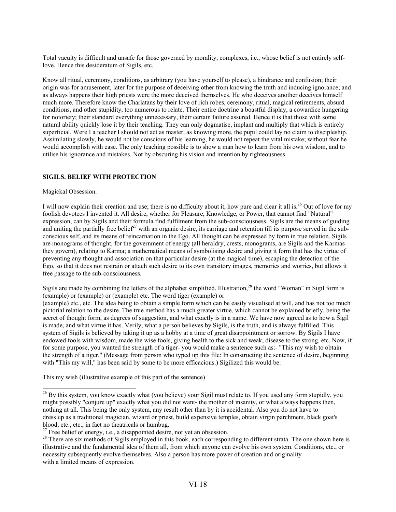Total vacuity is difficult and unsafe for those governed by morality, complexes, i.e., whose belief is not entirely selflove. Hence this desideratum of Sigils, etc.

Know all ritual, ceremony, conditions, as arbitrary (you have yourself to please), a hindrance and confusion; their origin was for amusement, later for the purpose of deceiving other from knowing the truth and inducing ignorance; and as always happens their high priests were the more deceived themselves. He who deceives another deceives himself much more. Therefore know the Charlatans by their love of rich robes, ceremony, ritual, magical retirements, absurd conditions, and other stupidity, too numerous to relate. Their entire doctrine a boastful display, a cowardice hungering for notoriety; their standard everything unnecessary, their certain failure assured. Hence it is that those with some natural ability quickly lose it by their teaching. They can only dogmatise, implant and multiply that which is entirely superficial. Were I a teacher I should not act as master, as knowing more, the pupil could lay no claim to discipleship. Assimilating slowly, he would not be conscious of his learning, he would not repeat the vital mistake; without fear he would accomplish with ease. The only teaching possible is to show a man how to learn from his own wisdom, and to utilise his ignorance and mistakes. Not by obscuring his vision and intention by righteousness.

## **SIGILS. BELIEF WITH PROTECTION**

#### Magickal Obsession.

-

I will now explain their creation and use; there is no difficulty about it, how pure and clear it all is.<sup>26</sup> Out of love for my foolish devotees I invented it. All desire, whether for Pleasure, Knowledge, or Power, that cannot find "Natural" expression, can by Sigils and their formula find fulfilment from the sub-consciousness. Sigils are the means of guiding and uniting the partially free belief<sup>27</sup> with an organic desire, its carriage and retention till its purpose served in the subconscious self, and its means of reincarnation in the Ego. All thought can be expressed by form in true relation. Sigils are monograms of thought, for the government of energy (all heraldry, crests, monograms, are Sigils and the Karmas they govern), relating to Karma; a mathematical means of symbolising desire and giving it form that has the virtue of preventing any thought and association on that particular desire (at the magical time), escaping the detection of the Ego, so that it does not restrain or attach such desire to its own transitory images, memories and worries, but allows it free passage to the sub-consciousness.

Sigils are made by combining the letters of the alphabet simplified. Illustration, $^{28}$  the word "Woman" in Sigil form is (example) or (example) or (example) etc. The word tiger (example) or

(example) etc., etc. The idea being to obtain a simple form which can be easily visualised at will, and has not too much pictorial relation to the desire. The true method has a much greater virtue, which cannot be explained briefly, being the secret of thought form, as degrees of suggestion, and what exactly is in a name. We have now agreed as to how a Sigil is made, and what virtue it has. Verily, what a person believes by Sigils, is the truth, and is always fulfilled. This system of Sigils is believed by taking it up as a hobby at a time of great disappointment or sorrow. By Sigils I have endowed fools with wisdom, made the wise fools, giving health to the sick and weak, disease to the strong, etc. Now, if for some purpose, you wanted the strength of a tiger- you would make a sentence such as:- "This my wish to obtain the strength of a tiger." (Message from person who typed up this file: In constructing the sentence of desire, beginning with "This my will," has been said by some to be more efficacious.) Sigilized this would be:

This my wish (illustrative example of this part of the sentence)

<span id="page-17-0"></span> $^{26}$  By this system, you know exactly what (you believe) your Sigil must relate to. If you used any form stupidly, you might possibly "conjure up" exactly what you did not want- the mother of insanity, or what always happens then, nothing at all. This being the only system, any result other than by it is accidental. Also you do not have to dress up as a traditional magician, wizard or priest, build expensive temples, obtain virgin parchment, black goat's blood, etc., etc., in fact no theatricals or humbug.

<span id="page-17-2"></span><span id="page-17-1"></span>

<sup>&</sup>lt;sup>27</sup> Free belief or energy, i.e., a disappointed desire, not yet an obsession.<br><sup>28</sup> There are six methods of Sigils employed in this book, each corresponding to different strata. The one shown here is illustrative and the fundamental idea of them all, from which anyone can evolve his own system. Conditions, etc., or necessity subsequently evolve themselves. Also a person has more power of creation and originality with a limited means of expression.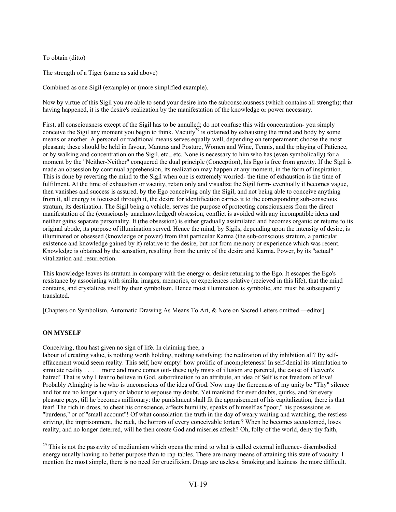To obtain (ditto)

The strength of a Tiger (same as said above)

Combined as one Sigil (example) or (more simplified example).

Now by virtue of this Sigil you are able to send your desire into the subconsciousness (which contains all strength); that having happened, it is the desire's realization by the manifestation of the knowledge or power necessary.

First, all consciousness except of the Sigil has to be annulled; do not confuse this with concentration- you simply conceive the Sigil any moment you begin to think. Vacuity<sup>29</sup> is obtained by exhausting the mind and body by some means or another. A personal or traditional means serves equally well, depending on temperament; choose the most pleasant; these should be held in favour, Mantras and Posture, Women and Wine, Tennis, and the playing of Patience, or by walking and concentration on the Sigil, etc., etc. None is necessary to him who has (even symbolically) for a moment by the "Neither-Neither" conquered the dual principle (Conception), his Ego is free from gravity. If the Sigil is made an obsession by continual apprehension, its realization may happen at any moment, in the form of inspiration. This is done by reverting the mind to the Sigil when one is extremely worried- the time of exhaustion is the time of fulfilment. At the time of exhaustion or vacuity, retain only and visualize the Sigil form- eventually it becomes vague, then vanishes and success is assured. by the Ego conceiving only the Sigil, and not being able to conceive anything from it, all energy is focussed through it, the desire for identification carries it to the corresponding sub-conscious stratum, its destination. The Sigil being a vehicle, serves the purpose of protecting consciousness from the direct manifestation of the (consciously unacknowledged) obsession, conflict is avoided with any incompatible ideas and neither gains separate personality. It (the obsession) is either gradually assimilated and becomes organic or returns to its original abode, its purpose of illumination served. Hence the mind, by Sigils, depending upon the intensity of desire, is illuminated or obsessed (knowledge or power) from that particular Karma (the sub-conscious stratum, a particular existence and knowledge gained by it) relative to the desire, but not from memory or experience which was recent. Knowledge is obtained by the sensation, resulting from the unity of the desire and Karma. Power, by its "actual" vitalization and resurrection.

This knowledge leaves its stratum in company with the energy or desire returning to the Ego. It escapes the Ego's resistance by associating with similar images, memories, or experiences relative (recieved in this life), that the mind contains, and crystalizes itself by their symbolism. Hence most illumination is symbolic, and must be subsequently translated.

[Chapters on Symbolism, Automatic Drawing As Means To Art, & Note on Sacred Letters omitted.—editor]

## **ON MYSELF**

 $\overline{a}$ 

Conceiving, thou hast given no sign of life. In claiming thee, a

labour of creating value, is nothing worth holding, nothing satisfying; the realization of thy inhibition all? By selfeffacement would seem reality. This self, how empty! how prolific of incompleteness! In self-denial its stimulation to simulate reality . . . . more and more comes out- these ugly mists of illusion are parental, the cause of Heaven's hatred! That is why I fear to believe in God, subordination to an attribute, an idea of Self is not freedom of love! Probably Almighty is he who is unconscious of the idea of God. Now may the fierceness of my unity be "Thy" silence and for me no longer a query or labour to espouse my doubt. Yet mankind for ever doubts, quirks, and for every pleasure pays, till he becomes millionary: the punishment shall fit the appraisement of his capitalization, there is that fear! The rich in dross, to cheat his conscience, affects humility, speaks of himself as "poor," his possessions as "burdens," or of "small account"! Of what consolation the truth in the day of weary waiting and watching, the restless striving, the imprisonment, the rack, the horrors of every conceivable torture? When he becomes accustomed, loses reality, and no longer deterred, will he then create God and miseries afresh? Oh, folly of the world, deny thy faith,

<span id="page-18-0"></span> $29$  This is not the passivity of mediumism which opens the mind to what is called external influence-disembodied energy usually having no better purpose than to rap-tables. There are many means of attaining this state of vacuity: I mention the most simple, there is no need for crucifixion. Drugs are useless. Smoking and laziness the more difficult.